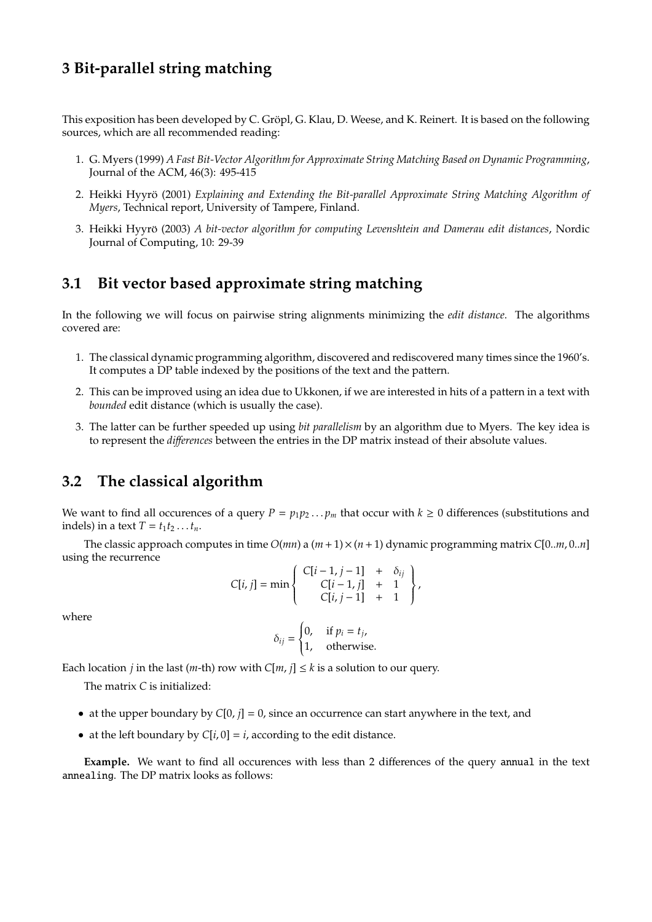## **3 Bit-parallel string matching**

This exposition has been developed by C. Gröpl, G. Klau, D. Weese, and K. Reinert. It is based on the following sources, which are all recommended reading:

- 1. G. Myers (1999) *A Fast Bit-Vector Algorithm for Approximate String Matching Based on Dynamic Programming*, Journal of the ACM, 46(3): 495-415
- 2. Heikki Hyyrö (2001) Explaining and Extending the Bit-parallel Approximate String Matching Algorithm of *Myers*, Technical report, University of Tampere, Finland.
- 3. Heikki Hyyrö (2003) A bit-vector algorithm for computing Levenshtein and Damerau edit distances, Nordic Journal of Computing, 10: 29-39

#### **3.1 Bit vector based approximate string matching**

In the following we will focus on pairwise string alignments minimizing the *edit distance*. The algorithms covered are:

- 1. The classical dynamic programming algorithm, discovered and rediscovered many times since the 1960's. It computes a DP table indexed by the positions of the text and the pattern.
- 2. This can be improved using an idea due to Ukkonen, if we are interested in hits of a pattern in a text with *bounded* edit distance (which is usually the case).
- 3. The latter can be further speeded up using *bit parallelism* by an algorithm due to Myers. The key idea is to represent the *di*ff*erences* between the entries in the DP matrix instead of their absolute values.

#### **3.2 The classical algorithm**

We want to find all occurences of a query  $P = p_1p_2...p_m$  that occur with  $k \ge 0$  differences (substitutions and indels) in a text  $T = t_1 t_2 \dots t_n$ .

The classic approach computes in time  $O(mn)$  a  $(m+1) \times (n+1)$  dynamic programming matrix  $C[0..m, 0..n]$ using the recurrence

$$
C[i, j] = \min \left\{ \begin{array}{rcl} C[i-1, j-1] & + & \delta_{ij} \\ C[i-1, j] & + & 1 \\ C[i, j-1] & + & 1 \end{array} \right\},
$$

where

$$
\delta_{ij} = \begin{cases} 0, & \text{if } p_i = t_j, \\ 1, & \text{otherwise.} \end{cases}
$$

Each location *j* in the last (*m*-th) row with  $C[m, j] \leq k$  is a solution to our query.

The matrix *C* is initialized:

- at the upper boundary by  $C[0, j] = 0$ , since an occurrence can start anywhere in the text, and
- at the left boundary by  $C[i, 0] = i$ , according to the edit distance.

**Example.** We want to find all occurences with less than 2 differences of the query annual in the text annealing. The DP matrix looks as follows: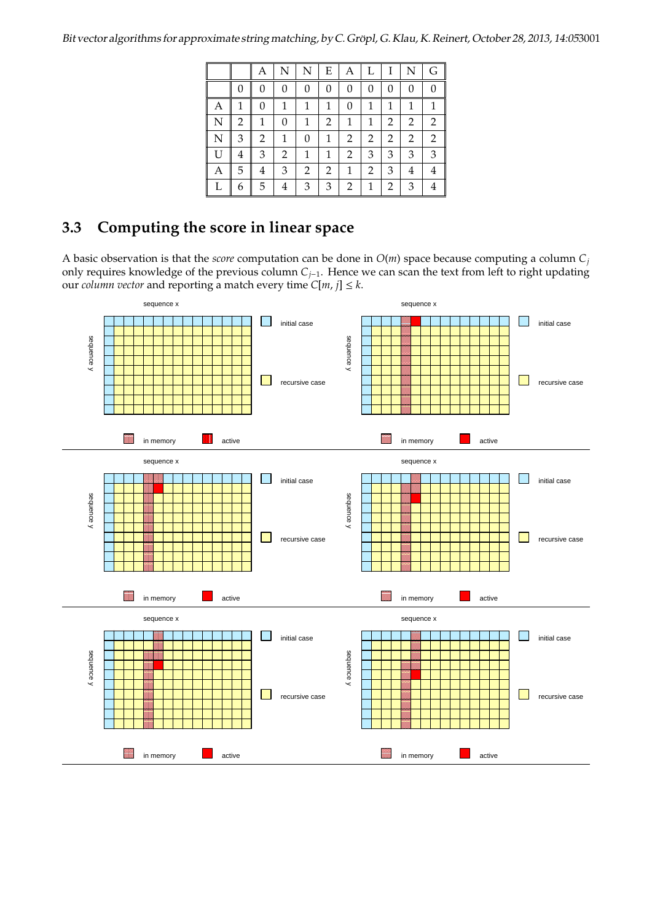|   |   | Α              | N        | N        | E | Α | L | T | N              | G |
|---|---|----------------|----------|----------|---|---|---|---|----------------|---|
|   |   | 0              | 0        | $\Omega$ | 0 | 0 | 0 | 0 | 0              | 0 |
| Α | 1 | $\overline{0}$ | 1        | 1        | 1 | 0 | 1 | 1 |                |   |
| N | 2 | $\mathbf{1}$   | $\theta$ | 1        | 2 | 1 | 1 | 2 | 2              | 2 |
| N | 3 | 2              | 1        | $\Omega$ | 1 | 2 | 2 | 2 | $\overline{2}$ | 2 |
| U | 4 | 3              | 2        | 1        | 1 | 2 | 3 | 3 | 3              | 3 |
| Α | 5 | 4              | 3        | 2        | 2 | 1 | 2 | 3 | 4              | 4 |
| L | 6 | 5              | 4        | 3        | 3 | 2 | 1 | 2 | 3              |   |

# **3.3 Computing the score in linear space**

A basic observation is that the *score* computation can be done in *O*(*m*) space because computing a column *C<sup>j</sup>* only requires knowledge of the previous column *Cj*−1. Hence we can scan the text from left to right updating our *column vector* and reporting a match every time  $C[m, j] \leq k$ .

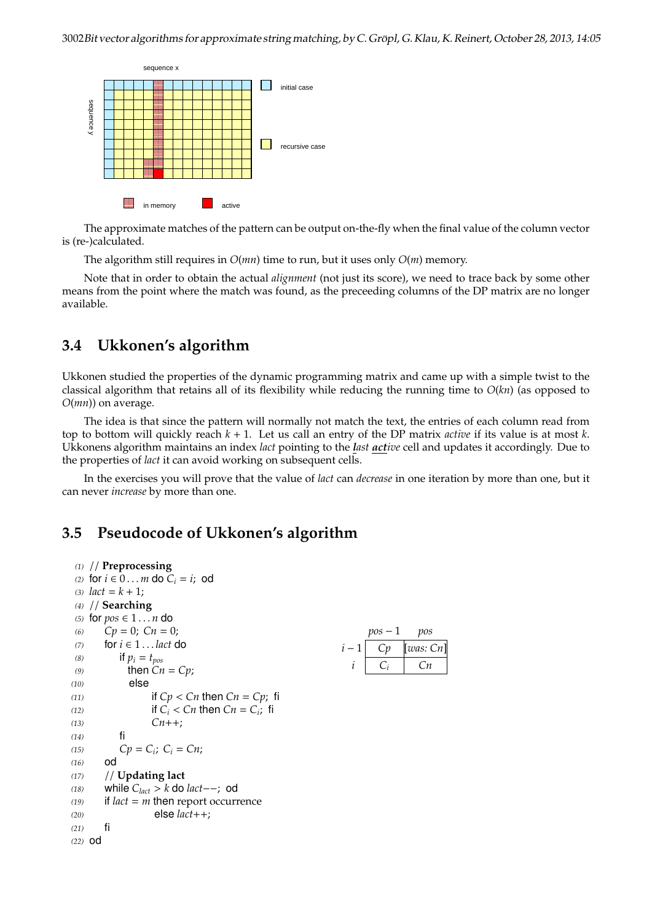

The approximate matches of the pattern can be output on-the-fly when the final value of the column vector is (re-)calculated.

The algorithm still requires in *O*(*mn*) time to run, but it uses only *O*(*m*) memory.

Note that in order to obtain the actual *alignment* (not just its score), we need to trace back by some other means from the point where the match was found, as the preceeding columns of the DP matrix are no longer available.

## **3.4 Ukkonen's algorithm**

Ukkonen studied the properties of the dynamic programming matrix and came up with a simple twist to the classical algorithm that retains all of its flexibility while reducing the running time to *O*(*kn*) (as opposed to *O*(*mn*)) on average.

The idea is that since the pattern will normally not match the text, the entries of each column read from top to bottom will quickly reach *k* + 1. Let us call an entry of the DP matrix *active* if its value is at most *k*. Ukkonens algorithm maintains an index *lact* pointing to the *last active* cell and updates it accordingly. Due to the properties of *lact* it can avoid working on subsequent cells.

In the exercises you will prove that the value of *lact* can *decrease* in one iteration by more than one, but it can never *increase* by more than one.

#### **3.5 Pseudocode of Ukkonen's algorithm**

```
(1) // Preprocessing
(2) for i \in 0...m do C_i = i; od
(3) lact = k + 1;
(4) // Searching
(5) for pos \in 1...n do
(6) Cp = 0; Cn = 0; pos − 1 pos
                                               i − 1 | Cp | [was: Cn]
                                                 i Ci Cn
(7) for i ∈ 1 . . . lact do
(8) if p_i = t_{pos}(9) then Cn = Cp;
(10) else
(11) if Cp < Cn then Cn = Cp; fi
(12) if C_i < C_n then C_n = C_i; fi
(13) Cn++;
(14) fi
(15) Cp = C_i; C_i = Cn;
(16) od
(17) // Updating lact
(18) while Clact > k do lact−−; od
(19) if lact = m then report occurrence
(20) else lact++;
(21) fi
(22) od
```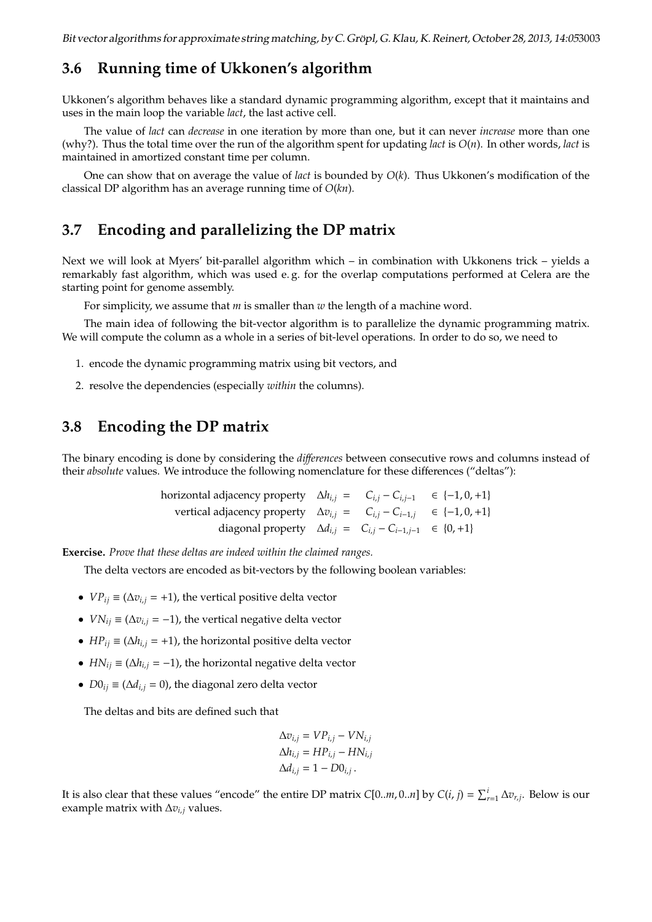#### **3.6 Running time of Ukkonen's algorithm**

Ukkonen's algorithm behaves like a standard dynamic programming algorithm, except that it maintains and uses in the main loop the variable *lact*, the last active cell.

The value of *lact* can *decrease* in one iteration by more than one, but it can never *increase* more than one (why?). Thus the total time over the run of the algorithm spent for updating *lact* is *O*(*n*). In other words, *lact* is maintained in amortized constant time per column.

One can show that on average the value of *lact* is bounded by *O*(*k*). Thus Ukkonen's modification of the classical DP algorithm has an average running time of *O*(*kn*).

#### **3.7 Encoding and parallelizing the DP matrix**

Next we will look at Myers' bit-parallel algorithm which – in combination with Ukkonens trick – yields a remarkably fast algorithm, which was used e. g. for the overlap computations performed at Celera are the starting point for genome assembly.

For simplicity, we assume that *m* is smaller than *w* the length of a machine word.

The main idea of following the bit-vector algorithm is to parallelize the dynamic programming matrix. We will compute the column as a whole in a series of bit-level operations. In order to do so, we need to

- 1. encode the dynamic programming matrix using bit vectors, and
- 2. resolve the dependencies (especially *within* the columns).

#### **3.8 Encoding the DP matrix**

The binary encoding is done by considering the *di*ff*erences* between consecutive rows and columns instead of their *absolute* values. We introduce the following nomenclature for these differences ("deltas"):

| horizontal adjacency property $\Delta h_{i,j} = C_{i,j} - C_{i,j-1} \in \{-1,0,+1\}$ |  |  |
|--------------------------------------------------------------------------------------|--|--|
| vertical adjacency property $\Delta v_{i,j} = C_{i,j} - C_{i-1,j} \in \{-1,0,+1\}$   |  |  |
| diagonal property $\Delta d_{i,j} = C_{i,j} - C_{i-1,j-1} \in \{0, +1\}$             |  |  |

**Exercise.** *Prove that these deltas are indeed within the claimed ranges.*

The delta vectors are encoded as bit-vectors by the following boolean variables:

- *VP*<sup>*ij*</sup>  $\equiv (\Delta v$ <sup>*i*</sup> $)$  = +1), the vertical positive delta vector
- *VN*<sub>*ij*</sub>  $\equiv (\Delta v_{i,j} = -1)$ , the vertical negative delta vector
- *HP*<sub>ij</sub>  $\equiv (\Delta h_{i,j} = +1)$ , the horizontal positive delta vector
- *HN*<sub>ij</sub>  $\equiv (\Delta h_{i,j} = -1)$ , the horizontal negative delta vector
- *D* $0_{ij}$  ≡ ( $\Delta d_{i,j}$  = 0), the diagonal zero delta vector

The deltas and bits are defined such that

$$
\Delta v_{i,j} = VP_{i,j} - VN_{i,j}
$$
  
\n
$$
\Delta h_{i,j} = HP_{i,j} - HN_{i,j}
$$
  
\n
$$
\Delta d_{i,j} = 1 - D0_{i,j}.
$$

It is also clear that these values "encode" the entire DP matrix *C*[0..*m*, 0..*n*] by *C*(*i*, *j*) =  $\sum_{r=1}^{i} \Delta v_{r,j}$ . Below is our example matrix with  $\Delta v_{i,j}$  values.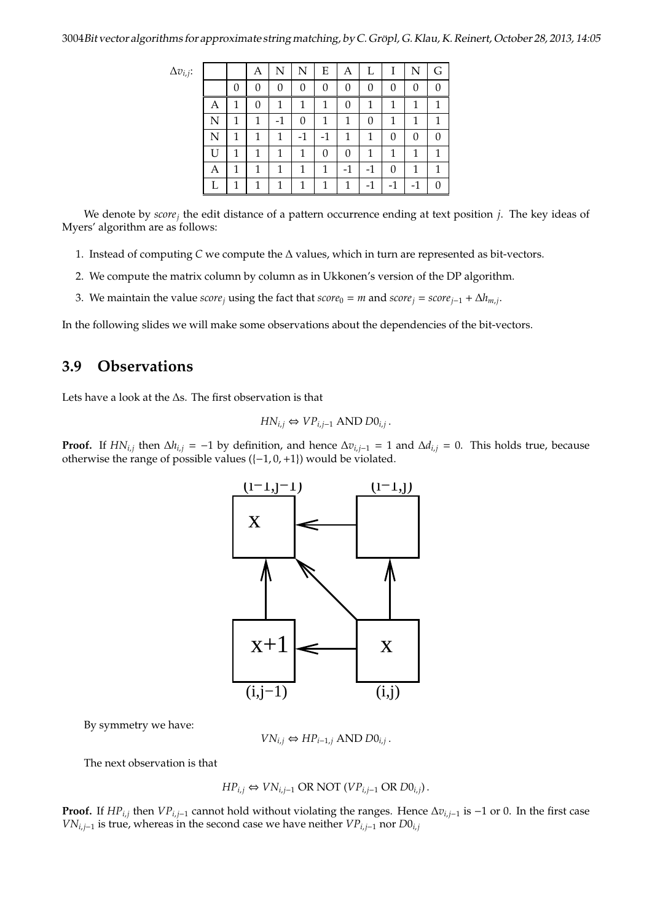| $\Delta v_{i,j}$ : |    |   | Α | N  | N    | E    | Α            |      |      | N    | G |
|--------------------|----|---|---|----|------|------|--------------|------|------|------|---|
|                    |    | 0 | 0 | 0  | 0    | 0    | 0            | 0    | 0    | 0    |   |
|                    | А  | 1 | 0 | 1  | 1    | 1    | 0            | 1    | 1    | 1    | 1 |
|                    | N  | 1 | 1 | -1 | 0    | 1    | 1            | 0    | 1    | 1    | 1 |
|                    | N  | 1 | 1 | 1  | $-1$ | $-1$ | 1            | 1    | 0    | 0    | 0 |
|                    | ĪΙ | 1 | 1 | 1  | 1    | 0    | 0            | 1    | 1    | 1    | 1 |
|                    | Α  | 1 | 1 | 1  | 1    | 1    | $-1$         | $-1$ | 0    | 1    | 1 |
|                    |    |   | 1 | 1  | 1    | 1    | $\mathbf{1}$ | -1   | $-1$ | $-1$ |   |

We denote by *score<sup>j</sup>* the edit distance of a pattern occurrence ending at text position *j*. The key ideas of Myers' algorithm are as follows:

- 1. Instead of computing *C* we compute the ∆ values, which in turn are represented as bit-vectors.
- 2. We compute the matrix column by column as in Ukkonen's version of the DP algorithm.
- 3. We maintain the value *score<sub>j</sub>* using the fact that *score*<sub>0</sub> = *m* and *score<sub>j</sub>* = *score<sub>j</sub>*−1 +  $\Delta h_{m,j}$ .

In the following slides we will make some observations about the dependencies of the bit-vectors.

## **3.9 Observations**

Lets have a look at the ∆s. The first observation is that

$$
HN_{i,j} \Leftrightarrow VP_{i,j-1} \text{ AND } D0_{i,j}.
$$

**Proof.** If  $HN_{i,j}$  then  $\Delta h_{i,j} = -1$  by definition, and hence  $\Delta v_{i,j-1} = 1$  and  $\Delta d_{i,j} = 0$ . This holds true, because otherwise the range of possible values  $([-1, 0, +1])$  would be violated.



By symmetry we have:

$$
VN_{i,j} \Leftrightarrow HP_{i-1,j} \text{ AND } D0_{i,j}.
$$

The next observation is that

$$
HP_{i,j} \Leftrightarrow VN_{i,j-1} \text{ OR NOT } (VP_{i,j-1} \text{ OR } D0_{i,j}).
$$

**Proof.** If  $HP_{i,j}$  then  $VP_{i,j-1}$  cannot hold without violating the ranges. Hence  $\Delta v_{i,j-1}$  is −1 or 0. In the first case *VN*<sub>*i*,*j*−1</sub> is true, whereas in the second case we have neither *VP*<sub>*i*</sub>,*j*−1 nor *D*0*i*,*j*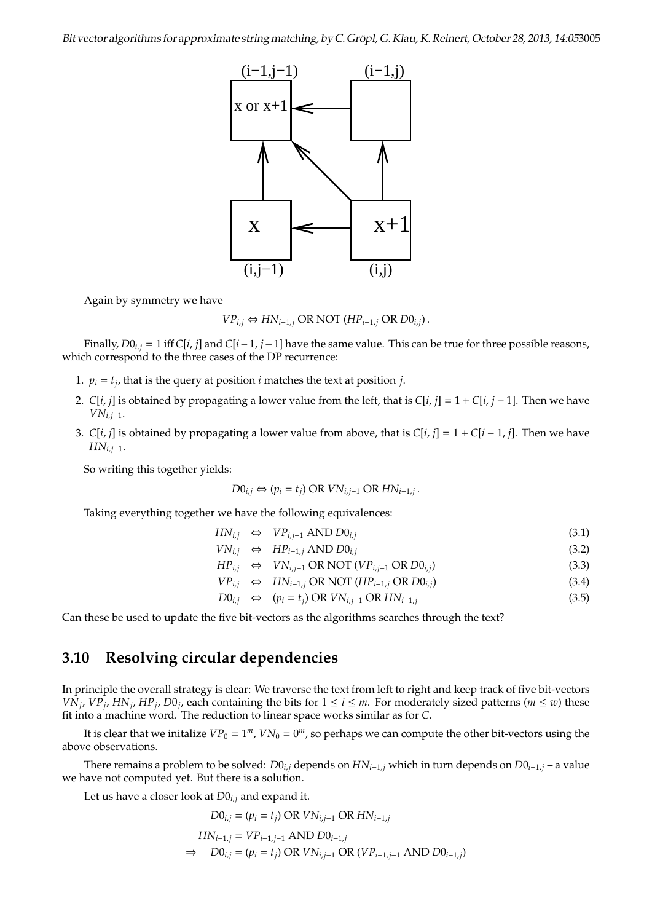

Again by symmetry we have

$$
VP_{i,j} \Leftrightarrow HN_{i-1,j} \text{ OR NOT } (HP_{i-1,j} \text{ OR } D0_{i,j}).
$$

Finally, *D*0*i*,*<sup>j</sup>* = 1 iff *C*[*i*, *j*] and *C*[*i*−1, *j*−1] have the same value. This can be true for three possible reasons, which correspond to the three cases of the DP recurrence:

- 1.  $p_i = t_j$ , that is the query at position *i* matches the text at position *j*.
- 2. *C*[*i*, *j*] is obtained by propagating a lower value from the left, that is *C*[*i*, *j*] = 1 + *C*[*i*, *j* − 1]. Then we have *VNi*,*j*−1.
- 3. *C*[*i*, *j*] is obtained by propagating a lower value from above, that is *C*[*i*, *j*] = 1 + *C*[*i* − 1, *j*]. Then we have *HNi*,*j*−1.

So writing this together yields:

$$
D0_{i,j} \Leftrightarrow (p_i = t_j) \text{ OR } VN_{i,j-1} \text{ OR }HN_{i-1,j}.
$$

Taking everything together we have the following equivalences:

$$
HN_{i,j} \Leftrightarrow VP_{i,j-1} \text{ AND } D0_{i,j} \tag{3.1}
$$

$$
VN_{i,j} \Leftrightarrow HP_{i-1,j} \text{ AND }D0_{i,j} \tag{3.2}
$$

$$
HP_{i,j} \Leftrightarrow VN_{i,j-1} \text{ OR NOT } (VP_{i,j-1} \text{ OR } D0_{i,j})
$$
\n(3.3)

$$
VP_{i,j} \Leftrightarrow \text{HN}_{i-1,j} \text{OR NOT } (\text{HP}_{i-1,j} \text{OR } \text{DO}_{i,j})
$$
\n(3.4)

$$
D0_{i,j} \Leftrightarrow (p_i = t_j) \text{ OR } VN_{i,j-1} \text{ OR }HN_{i-1,j}
$$
\n(3.5)

Can these be used to update the five bit-vectors as the algorithms searches through the text?

#### **3.10 Resolving circular dependencies**

In principle the overall strategy is clear: We traverse the text from left to right and keep track of five bit-vectors  $V\hat{N}_j$ ,  $VP_j$ ,  $HN_j$ ,  $HP_j$ ,  $DO_j$ , each containing the bits for  $1 \le i \le m$ . For moderately sized patterns ( $m \le w$ ) these fit into a machine word. The reduction to linear space works similar as for *C*.

It is clear that we initalize  $VP_0 = 1^m$ ,  $VN_0 = 0^m$ , so perhaps we can compute the other bit-vectors using the above observations.

There remains a problem to be solved: *D*0*i*,*<sup>j</sup>* depends on *HNi*−1,*<sup>j</sup>* which in turn depends on *D*0*i*−1,*<sup>j</sup>* – a value we have not computed yet. But there is a solution.

Let us have a closer look at *D*0*i*,*<sup>j</sup>* and expand it.

$$
D0_{i,j} = (p_i = t_j) \text{ OR } VN_{i,j-1} \text{ OR } \underline{HN_{i-1,j}}
$$
  
\n
$$
HN_{i-1,j} = VP_{i-1,j-1} \text{ AND } D0_{i-1,j}
$$
  
\n
$$
\Rightarrow \quad D0_{i,j} = (p_i = t_j) \text{ OR } VN_{i,j-1} \text{ OR } (VP_{i-1,j-1} \text{ AND } D0_{i-1,j})
$$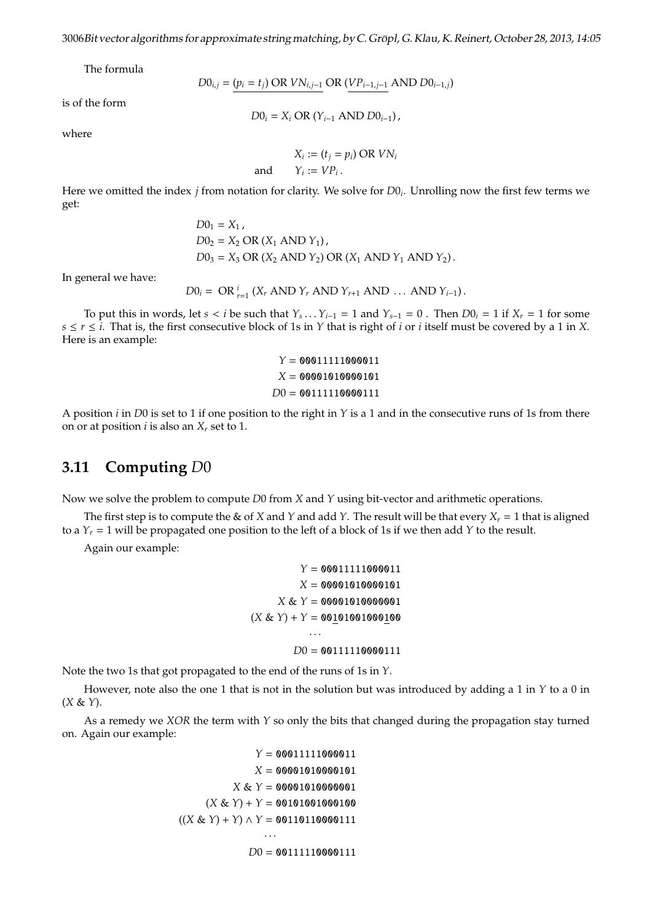The formula

$$
DO_{i,j} = (p_i = t_j) \text{ OR } VN_{i,j-1} \text{ OR } (VP_{i-1,j-1} \text{ AND } DO_{i-1,j})
$$

is of the form

$$
DO_i = X_i OR (Y_{i-1} AND DO_{i-1}),
$$

where

$$
X_i := (t_j = p_i) \text{ OR } VN_i
$$
  

$$
Y_i := VP_i \, .
$$

Here we omitted the index *j* from notation for clarity. We solve for *D*0*<sup>i</sup>* . Unrolling now the first few terms we get:

and *Y<sup>i</sup>*

$$
D01 = X1,\nD02 = X2 OR (X1 AND Y1),\nD03 = X3 OR (X2 AND Y2) OR (X1 AND Y1 AND Y2).
$$

In general we have:

$$
D0_i = \text{OR}_{r=1}^i (X_r \text{ AND } Y_r \text{ AND } Y_{r+1} \text{ AND } \dots \text{ AND } Y_{i-1}).
$$

To put this in words, let  $s < i$  be such that  $Y_s \dots Y_{i-1} = 1$  and  $Y_{s-1} = 0$ . Then  $D0_i = 1$  if  $X_r = 1$  for some  $s \leq r \leq i$ . That is, the first consecutive block of 1s in *Y* that is right of *i* or *i* itself must be covered by a 1 in *X*. Here is an example:

$$
Y = 00011111000011
$$

$$
X = 00001010000101
$$

$$
DO = 00111110000111
$$

A position *i* in *D*0 is set to 1 if one position to the right in *Y* is a 1 and in the consecutive runs of 1s from there on or at position *i* is also an  $X_r$  set to 1.

#### **3.11 Computing** *D*0

Now we solve the problem to compute *D*0 from *X* and *Y* using bit-vector and arithmetic operations.

The first step is to compute the & of *X* and *Y* and add *Y*. The result will be that every  $X_r = 1$  that is aligned to a  $Y_r = 1$  will be propagated one position to the left of a block of 1s if we then add *Y* to the result.

Again our example:

```
Y = 00011111000011
         X = 00001010000101
     X & Y = 00001010000001
(X & Y) + Y = 00101001000100· · ·
        D0 = 00111110000111
```
Note the two 1s that got propagated to the end of the runs of 1s in *Y*.

However, note also the one 1 that is not in the solution but was introduced by adding a 1 in *Y* to a 0 in (*X* & *Y*).

As a remedy we *XOR* the term with *Y* so only the bits that changed during the propagation stay turned on. Again our example:

$$
Y = 00011111000011
$$

$$
X = 00001010000101
$$

$$
X & Y = 00001010000001
$$

$$
(X & Y) + Y = 00101001000100
$$

$$
((X & Y) + Y) \wedge Y = 00110110000111
$$

$$
\cdots
$$

$$
D0 = 00111110000111
$$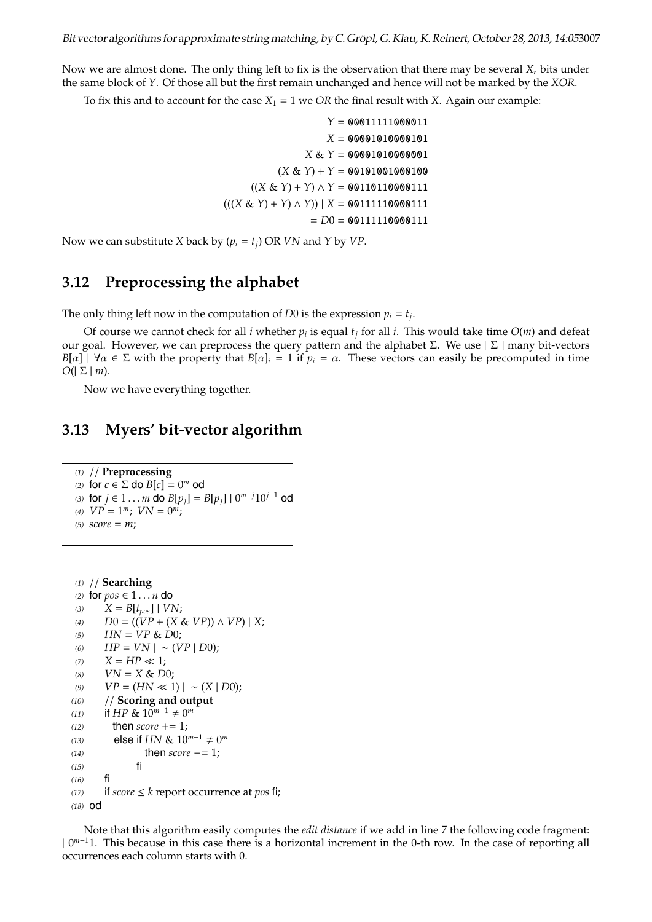Now we are almost done. The only thing left to fix is the observation that there may be several *X<sup>r</sup>* bits under the same block of *Y*. Of those all but the first remain unchanged and hence will not be marked by the *XOR*.

To fix this and to account for the case  $X_1 = 1$  we *OR* the final result with *X*. Again our example:

*Y* = 00011111000011 *X* = 00001010000101 *X* & *Y* = 00001010000001  $(X & Y) + Y = 00101001000100$  $((X & Y) + Y) \wedge Y = 00110110000111$  $(((X & Y) + Y) \wedge Y)) | X = 0011111100001111$  $= D0 = 00111110000111$ 

Now we can substitute *X* back by  $(p_i = t_i)$  OR *VN* and *Y* by *VP*.

#### **3.12 Preprocessing the alphabet**

The only thing left now in the computation of *D*0 is the expression  $p_i = t_j$ .

Of course we cannot check for all *i* whether  $p_i$  is equal  $t_j$  for all *i*. This would take time  $O(m)$  and defeat our goal. However, we can preprocess the query pattern and the alphabet Σ. We use  $|Σ|$  many bit-vectors  $B[\alpha]$  |  $\forall \alpha \in \Sigma$  with the property that  $B[\alpha]$ *i* = 1 if  $p_i = \alpha$ . These vectors can easily be precomputed in time  $O(|\Sigma| m)$ .

Now we have everything together.

## **3.13 Myers' bit-vector algorithm**

*(1)* // **Preprocessing** *(2)* for  $c \in \Sigma$  do  $B[c] = 0^m$  od *(3)* for *j* ∈ 1... *m* do *B*[ $p_j$ ] = *B*[ $p_j$ ] | 0<sup>*m*−*j*</sup>10*j*<sup>−1</sup> od (4)  $VP = 1^m$ ;  $VN = 0^m$ ; *(5) score* = *m*;

```
(1) // Searching
(2) for pos ∈ 1 . . . n do
(3) X = B[t_{pos}] | VN;(4) D0 = ((VP + (X & VP)) ∧ VP) | X;
HN = VP \& D0;(6) HP = VN | ∼ (VP | D0);
(X) \quad X = HP \ll 1;
(VN = X & D0;(9) VP = (HN \ll 1) | ∞ (X | D0);(10) // Scoring and output
(11) if HP & 10<sup>m-1</sup> ≠ 0<sup>m</sup>
(12) then score += 1;
(13) else if HN & 10^{m-1} \neq 0^m(14) then score −= 1;<br>(15) fi
(15)(16) fi
(17) if score \leq k report occurrence at pos fi;
(18) od
```
Note that this algorithm easily computes the *edit distance* if we add in line 7 the following code fragment: | 0 *<sup>m</sup>*−<sup>1</sup>1. This because in this case there is a horizontal increment in the 0-th row. In the case of reporting all occurrences each column starts with 0.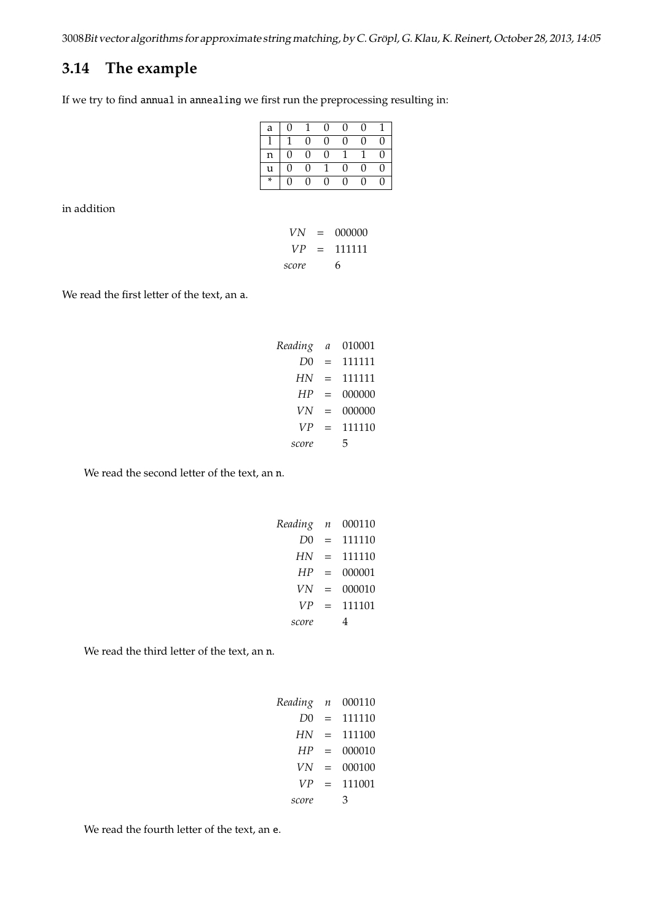# **3.14 The example**

If we try to find annual in annealing we first run the preprocessing resulting in:

| a | $\Omega$ |          | $\Omega$ | U        | O |   |
|---|----------|----------|----------|----------|---|---|
|   |          | U        | $\Omega$ | U        | U | 0 |
| n | $\Omega$ | $\Omega$ | $\Omega$ |          |   | N |
| u | $\Omega$ | $\Omega$ |          | $\Omega$ | U | O |
| * | 0        | 0        | $\Omega$ | U        | O | 0 |

in addition

| VN    | =   | 000000 |
|-------|-----|--------|
| VP    | $=$ | 111111 |
| score |     | 6      |

We read the first letter of the text, an a.

| Reading | $\mathfrak a$ | 010001 |
|---------|---------------|--------|
| D0      | $=$           | 111111 |
| HN      | $=$           | 111111 |
| HP      | $=$           | 000000 |
| VN      | $=$           | 000000 |
| VP      | $=$           | 111110 |
| score   |               | 5      |

We read the second letter of the text, an n.

| Reading        | $\boldsymbol{n}$ | 000110 |
|----------------|------------------|--------|
| D <sub>0</sub> | $=$              | 111110 |
| HN             | $=$              | 111110 |
| HP             | $=$              | 000001 |
| VN             | $=$              | 000010 |
| VР             | $=$              | 111101 |
| score          |                  |        |

We read the third letter of the text, an n.

| Reading        | $\boldsymbol{n}$ | 000110 |
|----------------|------------------|--------|
| D <sub>0</sub> | $=$              | 111110 |
| HN             | $\equiv$         | 111100 |
| HP             | $=$              | 000010 |
| VN             | $=$              | 000100 |
| VР             | $=$              | 111001 |
| score          |                  | З      |

We read the fourth letter of the text, an e.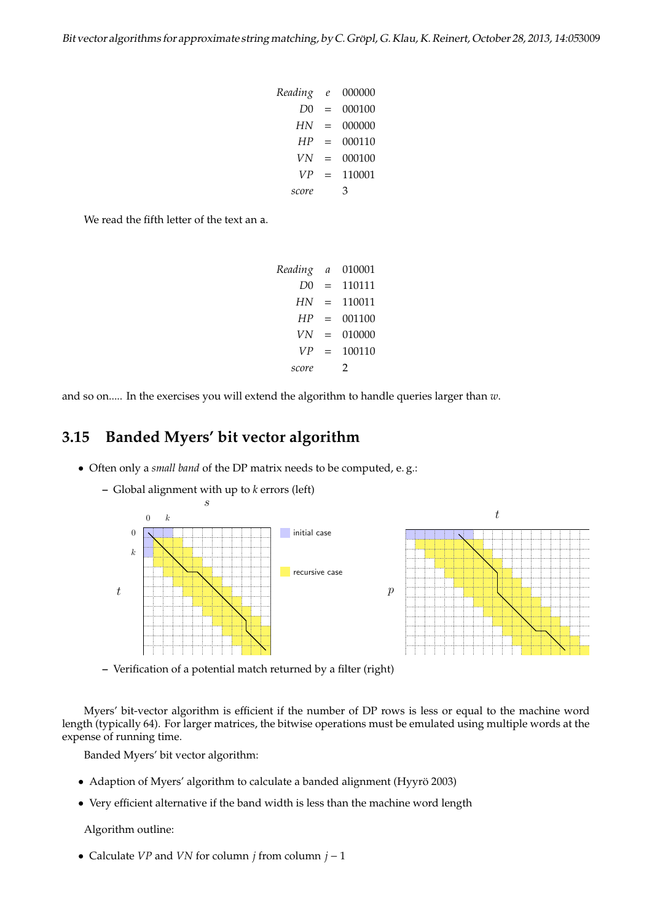*Reading e* 000000 *D*0 = 000100 *HN* = 000000 *HP* = 000110 *VN* = 000100 *VP* = 110001 *score* 3

We read the fifth letter of the text an a.

*Reading a* 010001 *D*0 = 110111 *HN* = 110011 *HP* = 001100 *VN* = 010000 *VP* = 100110 *score* 2

and so on..... In the exercises you will extend the algorithm to handle queries larger than *w*.

## **3.15 Banded Myers' bit vector algorithm**

- Often only a *small band* of the DP matrix needs to be computed, e. g.:
	- **–** Global alignment with up to *k* errors (left)



**–** Verification of a potential match returned by a filter (right)

Myers' bit-vector algorithm is efficient if the number of DP rows is less or equal to the machine word length (typically 64). For larger matrices, the bitwise operations must be emulated using multiple words at the expense of running time.

Banded Myers' bit vector algorithm:

- Adaption of Myers' algorithm to calculate a banded alignment (Hyyrö 2003)
- Very efficient alternative if the band width is less than the machine word length

Algorithm outline:

• Calculate *VP* and *VN* for column *j* from column *j* − 1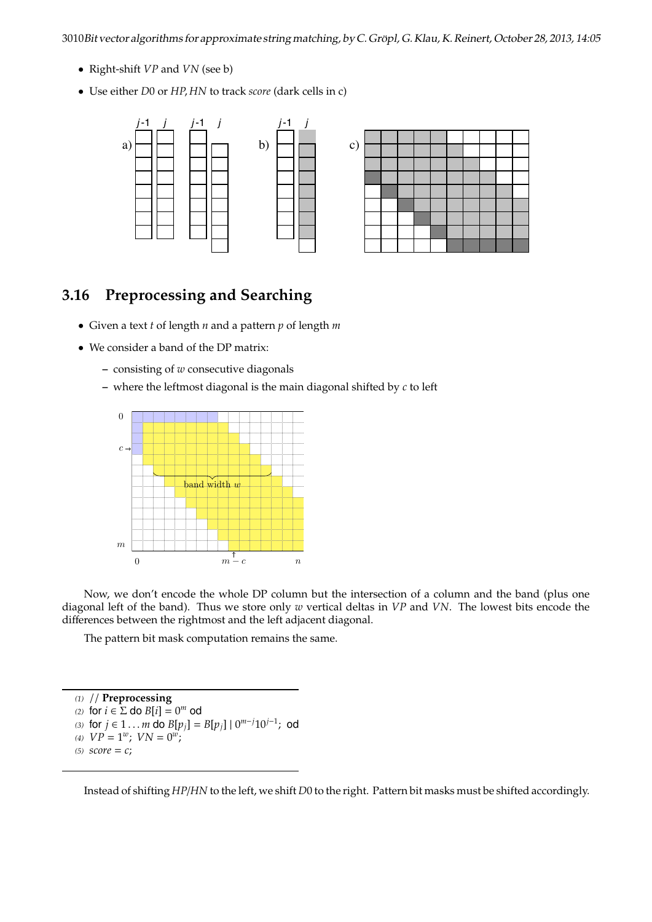3010Bit vector algorithms for approximate string matching, by C. Gröpl, G. Klau, K. Reinert, October 28, 2013, 14:05

- Right-shift *VP* and *VN* (see b)
- Use either *D*0 or *HP*, *HN* to track *score* (dark cells in c)



# **how the diagonal step and Searching** 3.16 Preprocessing and Searching column vector. c) The figure depicts in gray the figure depicts in gray the region of diagonals, which are filled

- Given a text *t* of length *n* and a pattern *p* of length *m* 
	- We consider a band of the DP matrix:
		- **–** consisting of *w* consecutive diagonals
- $\sim$  consisting or w consecutive diagonals an "extra" set bit at position l<sup>v</sup> + 1 and HPj[lv] = 1, and these two conditions cannot **–** where the leftmost diagonal is the main diagonal shifted by *c* to left



Now, we don't encode the whole DP column but the intersection of a column and the band (plus one diagonal left of the band). Thus we store only *w* vertical deltas in *VP* and *VN*. The lowest bits encode the differences between the rightmost and the left adiacent diagonal differences between the rightmost and the left adjacent diagonal.

The pattern bit mask computation remains the same. in encoding D0j , the column-wise top-to-bottom order may make it more difficult to the column-wise top-to-bot<br>D0j , the column-wise top-to-bottom order make it more difficult to the column-wise to-bottom order make it mo

We also modify the way some cell values are explicitly maintained. We choose *(1)* // **Preprocessing** (2) for  $i \in \Sigma$  do  $B[i] = 0^m$  od (3) for  $j \in 1...m$  do  $B[p_j] = B[p_j] \mid 0^{m-j}10^{j-1}$ ; od<br>(4)  $VP = 1^w$ :  $VN = 0^w$ : (5)  $score = c$ ; (4)  $VP = 1^w$ ;  $VN = 0^w$ ;  $(5)$  *score* = *c*;

Instead of shifting *HP*/*HN* to the left, we shift *D*0 to the right. Pattern bit masks must be shifted accordingly.

D[i−1, j −1, j −1, and D[i, j] if D0j [lv] = 1, and D[i, j] = D[i, j] = D[i, j] = D[i, j] = D[i, j] = D[i, j] = D<br>D[i, j] = D[i, j] = D[i, j] = D[i, j] = D[i, j] = D[i, j] = D[i, j] = D[i, j] = D[i, j] = D[i, j] = D[i, j]